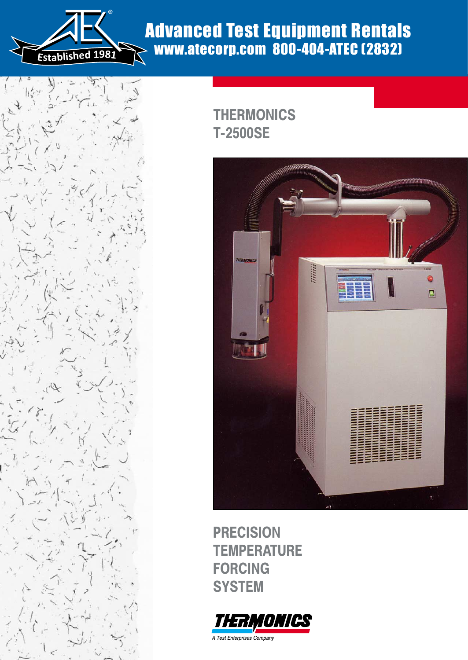

# Advanced Test Equipment Rentals www.atecorp.com 800-404-ATEC (2832)



## **THERMONICS T-2500SE**



**PRECISION TEMPERATURE FORCING SYSTEM**

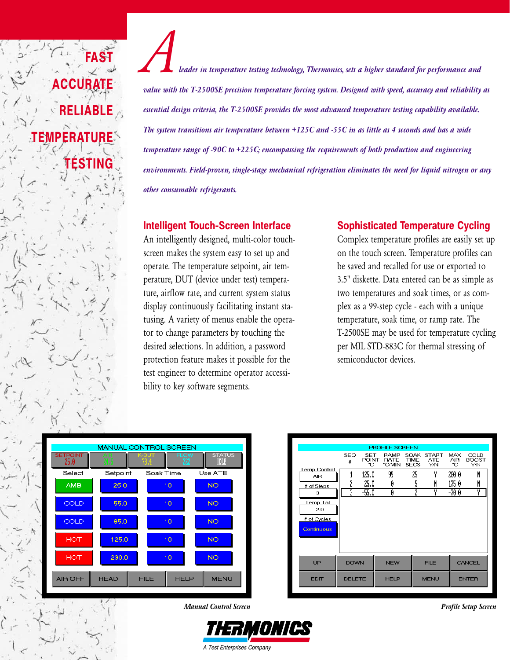*Aleader in temperature testing technology, Thermonics, sets a higher standard for performance and value with the T-2500SE precision temperature forcing system. Designed with speed, accuracy and reliability as essential design criteria, the T-2500SE provides the most advanced temperature testing capability available. The system transitions air temperature between +125C and -55C in as little as 4 seconds and has a wide temperature range of -90C to +225C; encompassing the requirements of both production and engineering environments. Field-proven, single-stage mechanical refrigeration eliminates the need for liquid nitrogen or any other consumable refrigerants.*

#### **Intelligent Touch-Screen Interface**

An intelligently designed, multi-color touchscreen makes the system easy to set up and operate. The temperature setpoint, air temperature, DUT (device under test) temperature, airflow rate, and current system status display continuously facilitating instant statusing. A variety of menus enable the operator to change parameters by touching the desired selections. In addition, a password protection feature makes it possible for the test engineer to determine operator accessibility to key software segments.

#### **Sophisticated Temperature Cycling**

Complex temperature profiles are easily set up on the touch screen. Temperature profiles can be saved and recalled for use or exported to 3.5" diskette. Data entered can be as simple as two temperatures and soak times, or as complex as a 99-step cycle - each with a unique temperature, soak time, or ramp rate. The T-2500SE may be used for temperature cycling per MIL STD-883C for thermal stressing of semiconductor devices.

|                         | <b>MANUAL CONTROL SCREEN</b> |                              |                               |
|-------------------------|------------------------------|------------------------------|-------------------------------|
| <b>SETPOINT</b><br>25.0 | <b>AR</b><br>24 S            | <b>FLOW</b><br>K-DUT<br>73.4 | <b>STATUS</b><br>222<br>TOTAL |
| Select                  | Setpoint                     | Soak Time                    | Use ATE                       |
| <b>AMB</b>              | 25.0                         | 10                           | <b>NO</b>                     |
| COLD                    | $-55.0$                      | 10                           | <b>NO</b>                     |
| COLD                    | $-85.0$                      | 10                           | <b>NO</b>                     |
| <b>HOT</b>              | 125.0                        | 10                           | <b>NO</b>                     |
| <b>HOT</b>              | 230.0                        | 10                           | <b>NO</b>                     |
| AIR OFF                 | <b>HEAD</b>                  | <b>FILE</b><br><b>HELP</b>   | <b>MENU</b>                   |

**FAST**

**ACCURATE**

**RELIABLE**

**TESTING**

**TEMPERATURE**







A Test Enterprises Company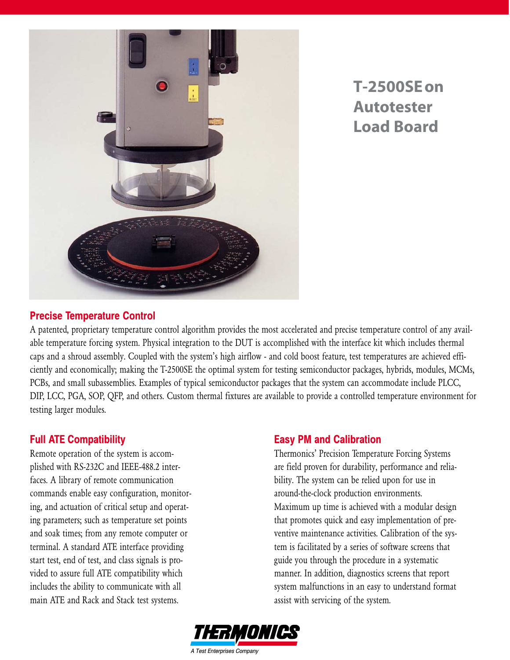

**T-2500SE on Autotester Load Board**

#### **Precise Temperature Control**

A patented, proprietary temperature control algorithm provides the most accelerated and precise temperature control of any available temperature forcing system. Physical integration to the DUT is accomplished with the interface kit which includes thermal caps and a shroud assembly. Coupled with the system's high airflow - and cold boost feature, test temperatures are achieved efficiently and economically; making the T-2500SE the optimal system for testing semiconductor packages, hybrids, modules, MCMs, PCBs, and small subassemblies. Examples of typical semiconductor packages that the system can accommodate include PLCC, DIP, LCC, PGA, SOP, QFP, and others. Custom thermal fixtures are available to provide a controlled temperature environment for testing larger modules.

#### **Full ATE Compatibility**

Remote operation of the system is accomplished with RS-232C and IEEE-488.2 interfaces. A library of remote communication commands enable easy configuration, monitoring, and actuation of critical setup and operating parameters; such as temperature set points and soak times; from any remote computer or terminal. A standard ATE interface providing start test, end of test, and class signals is provided to assure full ATE compatibility which includes the ability to communicate with all main ATE and Rack and Stack test systems.

#### **Easy PM and Calibration**

Thermonics' Precision Temperature Forcing Systems are field proven for durability, performance and reliability. The system can be relied upon for use in around-the-clock production environments. Maximum up time is achieved with a modular design that promotes quick and easy implementation of preventive maintenance activities. Calibration of the system is facilitated by a series of software screens that guide you through the procedure in a systematic manner. In addition, diagnostics screens that report system malfunctions in an easy to understand format assist with servicing of the system.

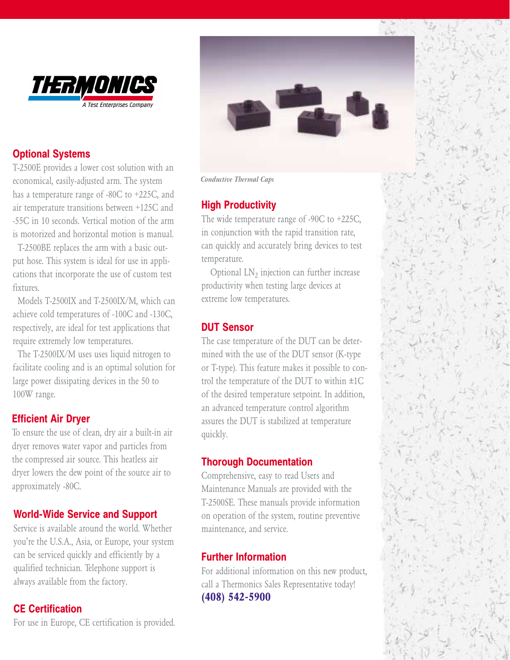

#### **Optional Systems**

T-2500E provides a lower cost solution with an economical, easily-adjusted arm. The system has a temperature range of -80C to +225C, and air temperature transitions between +125C and -55C in 10 seconds. Vertical motion of the arm is motorized and horizontal motion is manual.

T-2500BE replaces the arm with a basic output hose. This system is ideal for use in applications that incorporate the use of custom test fixtures.

Models T-2500IX and T-2500IX/M, which can achieve cold temperatures of -100C and -130C, respectively, are ideal for test applications that require extremely low temperatures.

The T-2500IX/M uses uses liquid nitrogen to facilitate cooling and is an optimal solution for large power dissipating devices in the 50 to 100W range.

#### **Efficient Air Dryer**

To ensure the use of clean, dry air a built-in air dryer removes water vapor and particles from the compressed air source. This heatless air dryer lowers the dew point of the source air to approximately -80C.

#### **World-Wide Service and Support**

Service is available around the world. Whether you're the U.S.A., Asia, or Europe, your system can be serviced quickly and efficiently by a qualified technician. Telephone support is always available from the factory.

#### **CE Certification**

For use in Europe, CE certification is provided.

*Conductive Thermal Caps*

### **High Productivity**

The wide temperature range of -90C to +225C, in conjunction with the rapid transition rate, can quickly and accurately bring devices to test temperature.

Optional  $LN<sub>2</sub>$  injection can further increase productivity when testing large devices at extreme low temperatures.

#### **DUT Sensor**

The case temperature of the DUT can be determined with the use of the DUT sensor (K-type or T-type). This feature makes it possible to control the temperature of the DUT to within *±*1C of the desired temperature setpoint. In addition, an advanced temperature control algorithm assures the DUT is stabilized at temperature quickly.

#### **Thorough Documentation**

Comprehensive, easy to read Users and Maintenance Manuals are provided with the T-2500SE. These manuals provide information on operation of the system, routine preventive maintenance, and service.

#### **Further Information**

For additional information on this new product, call a Thermonics Sales Representative today! **(408) 542-5900**

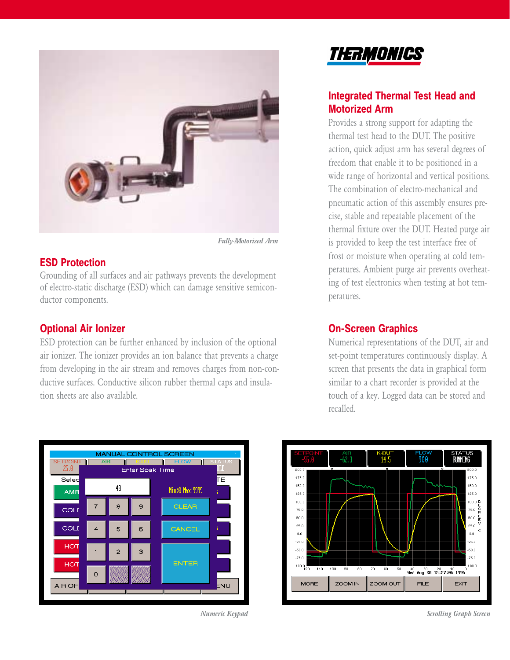

*Fully-Motorized Arm*

#### **ESD Protection**

Grounding of all surfaces and air pathways prevents the development of electro-static discharge (ESD) which can damage sensitive semiconductor components.

#### **Optional Air Ionizer**

ESD protection can be further enhanced by inclusion of the optional air ionizer. The ionizer provides an ion balance that prevents a charge from developing in the air stream and removes charges from non-conductive surfaces. Conductive silicon rubber thermal caps and insulation sheets are also available.





#### **Integrated Thermal Test Head and Motorized Arm**

Provides a strong support for adapting the thermal test head to the DUT. The positive action, quick adjust arm has several degrees of freedom that enable it to be positioned in a wide range of horizontal and vertical positions. The combination of electro-mechanical and pneumatic action of this assembly ensures precise, stable and repeatable placement of the thermal fixture over the DUT. Heated purge air is provided to keep the test interface free of frost or moisture when operating at cold temperatures. Ambient purge air prevents overheating of test electronics when testing at hot temperatures.

#### **On-Screen Graphics**

Numerical representations of the DUT, air and set-point temperatures continuously display. A screen that presents the data in graphical form similar to a chart recorder is provided at the touch of a key. Logged data can be stored and recalled.



*Numeric Keypad Scrolling Graph Screen*